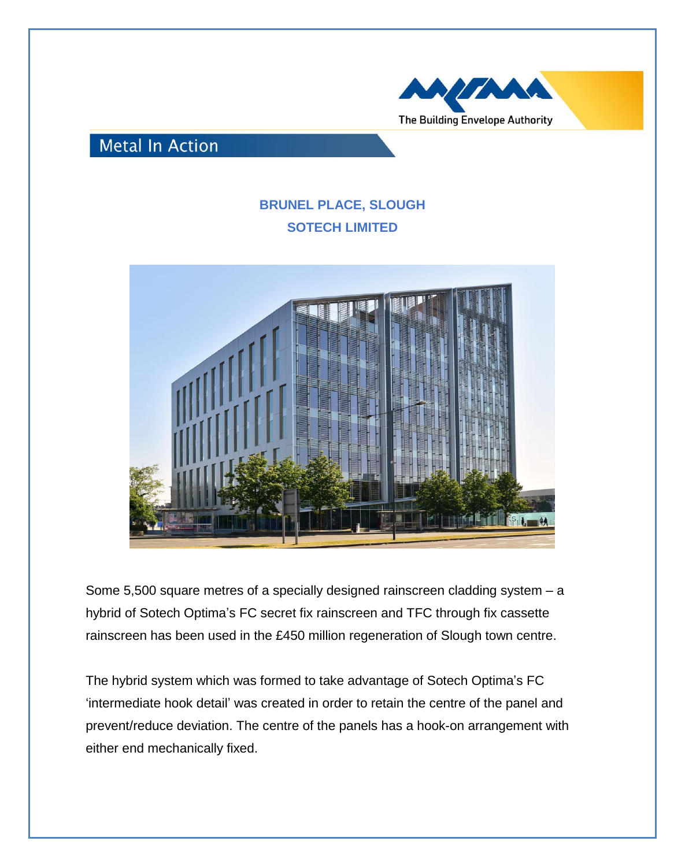

## **Metal In Action**

## **BRUNEL PLACE, SLOUGH SOTECH LIMITED**



Some 5,500 square metres of a specially designed rainscreen cladding system – a hybrid of Sotech Optima's FC secret fix rainscreen and TFC through fix cassette rainscreen has been used in the £450 million regeneration of Slough town centre.

The hybrid system which was formed to take advantage of Sotech Optima's FC 'intermediate hook detail' was created in order to retain the centre of the panel and prevent/reduce deviation. The centre of the panels has a hook-on arrangement with either end mechanically fixed.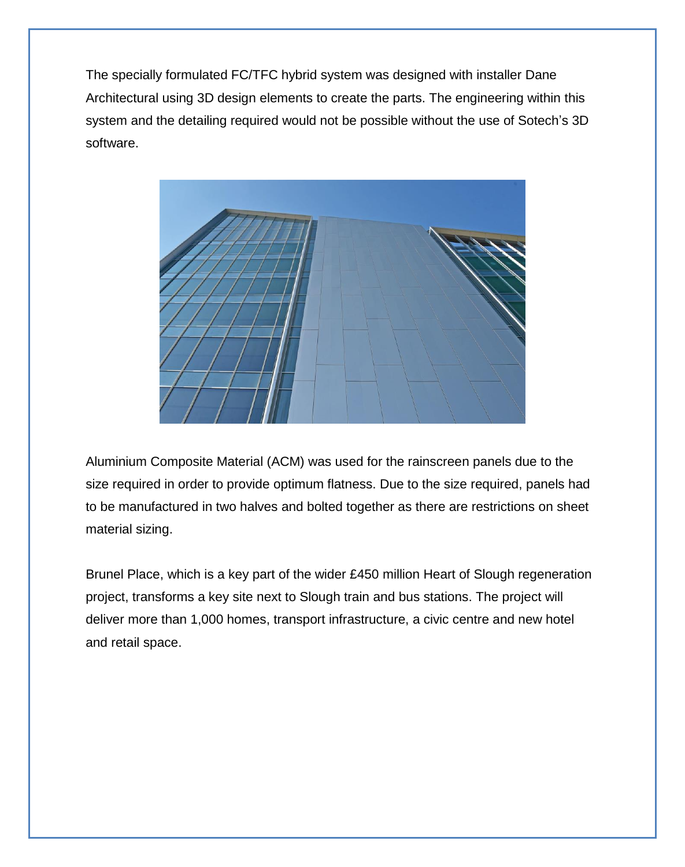The specially formulated FC/TFC hybrid system was designed with installer Dane Architectural using 3D design elements to create the parts. The engineering within this system and the detailing required would not be possible without the use of Sotech's 3D software.



Aluminium Composite Material (ACM) was used for the rainscreen panels due to the size required in order to provide optimum flatness. Due to the size required, panels had to be manufactured in two halves and bolted together as there are restrictions on sheet material sizing.

Brunel Place, which is a key part of the wider £450 million Heart of Slough regeneration project, transforms a key site next to Slough train and bus stations. The project will deliver more than 1,000 homes, transport infrastructure, a civic centre and new hotel and retail space.